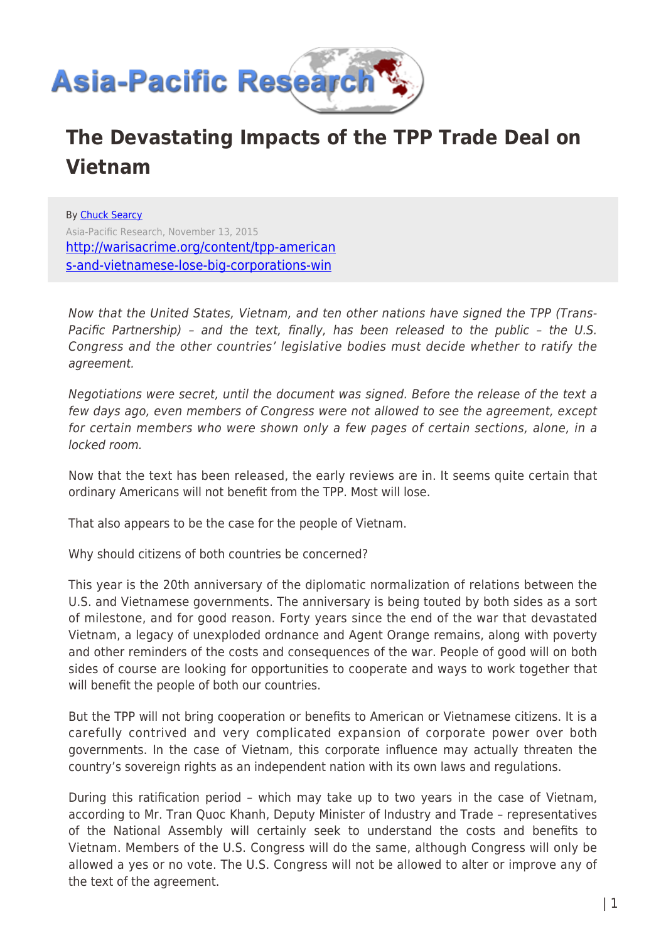

## **The Devastating Impacts of the TPP Trade Deal on Vietnam**

By [Chuck Searcy](https://www.asia-pacificresearch.com/author/chuck-searcy) Asia-Pacific Research, November 13, 2015 [http://warisacrime.org/content/tpp-american](http://warisacrime.org/content/tpp-americans-and-vietnamese-lose-big-corporations-win) [s-and-vietnamese-lose-big-corporations-win](http://warisacrime.org/content/tpp-americans-and-vietnamese-lose-big-corporations-win)

Now that the United States, Vietnam, and ten other nations have signed the TPP (Trans-Pacific Partnership) – and the text, finally, has been released to the public – the U.S. Congress and the other countries' legislative bodies must decide whether to ratify the agreement.

Negotiations were secret, until the document was signed. Before the release of the text a few days ago, even members of Congress were not allowed to see the agreement, except for certain members who were shown only a few pages of certain sections, alone, in a locked room.

Now that the text has been released, the early reviews are in. It seems quite certain that ordinary Americans will not benefit from the TPP. Most will lose.

That also appears to be the case for the people of Vietnam.

Why should citizens of both countries be concerned?

This year is the 20th anniversary of the diplomatic normalization of relations between the U.S. and Vietnamese governments. The anniversary is being touted by both sides as a sort of milestone, and for good reason. Forty years since the end of the war that devastated Vietnam, a legacy of unexploded ordnance and Agent Orange remains, along with poverty and other reminders of the costs and consequences of the war. People of good will on both sides of course are looking for opportunities to cooperate and ways to work together that will benefit the people of both our countries.

But the TPP will not bring cooperation or benefits to American or Vietnamese citizens. It is a carefully contrived and very complicated expansion of corporate power over both governments. In the case of Vietnam, this corporate influence may actually threaten the country's sovereign rights as an independent nation with its own laws and regulations.

During this ratification period – which may take up to two years in the case of Vietnam, according to Mr. Tran Quoc Khanh, Deputy Minister of Industry and Trade – representatives of the National Assembly will certainly seek to understand the costs and benefits to Vietnam. Members of the U.S. Congress will do the same, although Congress will only be allowed a yes or no vote. The U.S. Congress will not be allowed to alter or improve any of the text of the agreement.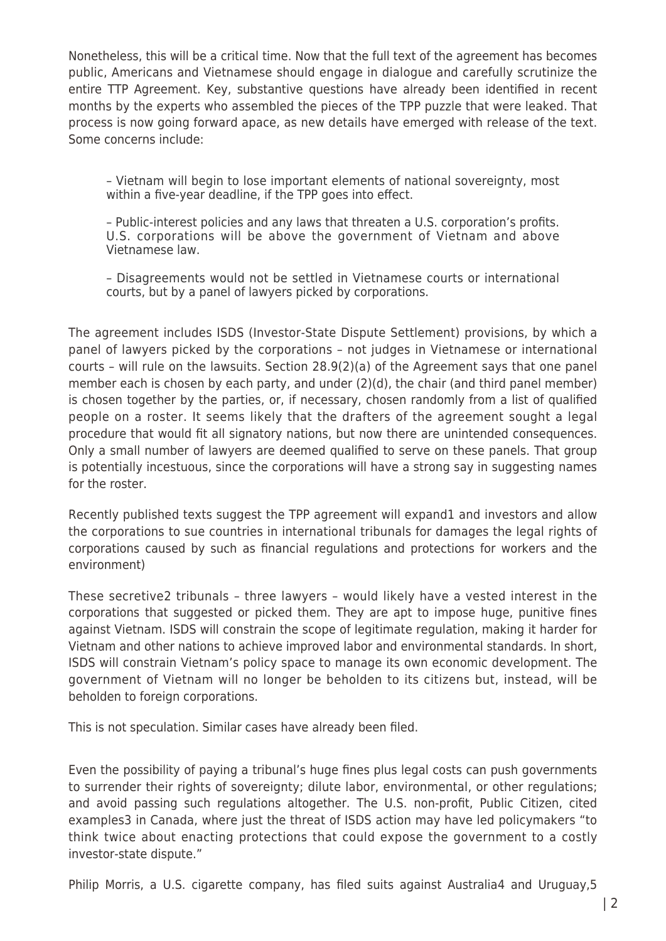Nonetheless, this will be a critical time. Now that the full text of the agreement has becomes public, Americans and Vietnamese should engage in dialogue and carefully scrutinize the entire TTP Agreement. Key, substantive questions have already been identified in recent months by the experts who assembled the pieces of the TPP puzzle that were leaked. That process is now going forward apace, as new details have emerged with release of the text. Some concerns include:

– Vietnam will begin to lose important elements of national sovereignty, most within a five-year deadline, if the TPP goes into effect.

– Public-interest policies and any laws that threaten a U.S. corporation's profits. U.S. corporations will be above the government of Vietnam and above Vietnamese law.

– Disagreements would not be settled in Vietnamese courts or international courts, but by a panel of lawyers picked by corporations.

The agreement includes ISDS (Investor-State Dispute Settlement) provisions, by which a panel of lawyers picked by the corporations – not judges in Vietnamese or international courts – will rule on the lawsuits. Section 28.9(2)(a) of the Agreement says that one panel member each is chosen by each party, and under (2)(d), the chair (and third panel member) is chosen together by the parties, or, if necessary, chosen randomly from a list of qualified people on a roster. It seems likely that the drafters of the agreement sought a legal procedure that would fit all signatory nations, but now there are unintended consequences. Only a small number of lawyers are deemed qualified to serve on these panels. That group is potentially incestuous, since the corporations will have a strong say in suggesting names for the roster.

Recently published texts suggest the TPP agreement will expand1 and investors and allow the corporations to sue countries in international tribunals for damages the legal rights of corporations caused by such as financial regulations and protections for workers and the environment)

These secretive2 tribunals – three lawyers – would likely have a vested interest in the corporations that suggested or picked them. They are apt to impose huge, punitive fines against Vietnam. ISDS will constrain the scope of legitimate regulation, making it harder for Vietnam and other nations to achieve improved labor and environmental standards. In short, ISDS will constrain Vietnam's policy space to manage its own economic development. The government of Vietnam will no longer be beholden to its citizens but, instead, will be beholden to foreign corporations.

This is not speculation. Similar cases have already been filed.

Even the possibility of paying a tribunal's huge fines plus legal costs can push governments to surrender their rights of sovereignty; dilute labor, environmental, or other regulations; and avoid passing such regulations altogether. The U.S. non-profit, Public Citizen, cited examples3 in Canada, where just the threat of ISDS action may have led policymakers "to think twice about enacting protections that could expose the government to a costly investor-state dispute."

Philip Morris, a U.S. cigarette company, has filed suits against Australia4 and Uruguay,5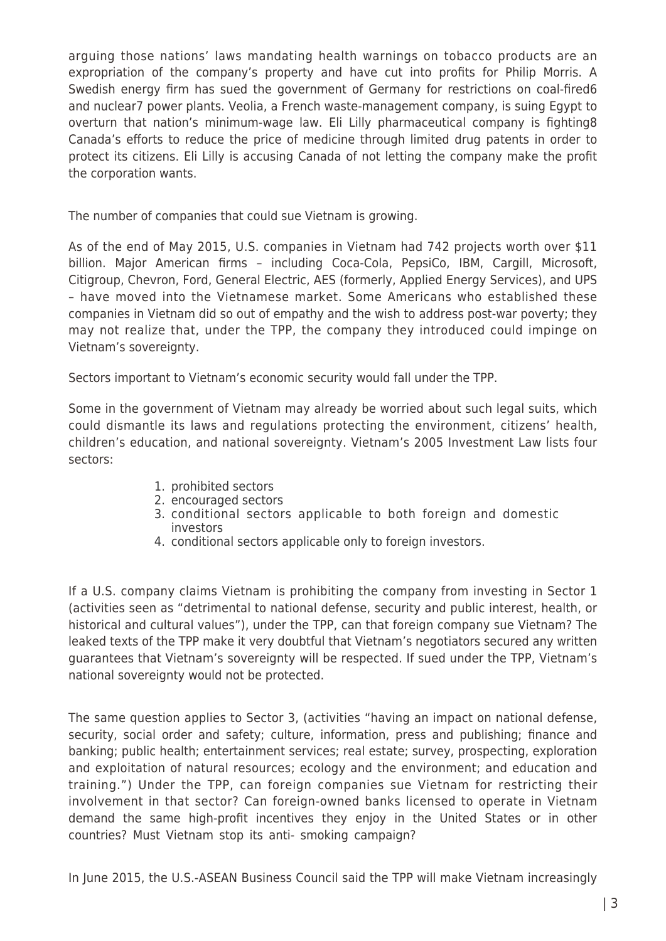arguing those nations' laws mandating health warnings on tobacco products are an expropriation of the company's property and have cut into profits for Philip Morris. A Swedish energy firm has sued the government of Germany for restrictions on coal-fired6 and nuclear7 power plants. Veolia, a French waste-management company, is suing Egypt to overturn that nation's minimum-wage law. Eli Lilly pharmaceutical company is fighting8 Canada's efforts to reduce the price of medicine through limited drug patents in order to protect its citizens. Eli Lilly is accusing Canada of not letting the company make the profit the corporation wants.

The number of companies that could sue Vietnam is growing.

As of the end of May 2015, U.S. companies in Vietnam had 742 projects worth over \$11 billion. Major American firms – including Coca-Cola, PepsiCo, IBM, Cargill, Microsoft, Citigroup, Chevron, Ford, General Electric, AES (formerly, Applied Energy Services), and UPS – have moved into the Vietnamese market. Some Americans who established these companies in Vietnam did so out of empathy and the wish to address post-war poverty; they may not realize that, under the TPP, the company they introduced could impinge on Vietnam's sovereignty.

Sectors important to Vietnam's economic security would fall under the TPP.

Some in the government of Vietnam may already be worried about such legal suits, which could dismantle its laws and regulations protecting the environment, citizens' health, children's education, and national sovereignty. Vietnam's 2005 Investment Law lists four sectors:

- 1. prohibited sectors
- 2. encouraged sectors
- 3. conditional sectors applicable to both foreign and domestic investors
- 4. conditional sectors applicable only to foreign investors.

If a U.S. company claims Vietnam is prohibiting the company from investing in Sector 1 (activities seen as "detrimental to national defense, security and public interest, health, or historical and cultural values"), under the TPP, can that foreign company sue Vietnam? The leaked texts of the TPP make it very doubtful that Vietnam's negotiators secured any written guarantees that Vietnam's sovereignty will be respected. If sued under the TPP, Vietnam's national sovereignty would not be protected.

The same question applies to Sector 3, (activities "having an impact on national defense, security, social order and safety; culture, information, press and publishing; finance and banking; public health; entertainment services; real estate; survey, prospecting, exploration and exploitation of natural resources; ecology and the environment; and education and training.") Under the TPP, can foreign companies sue Vietnam for restricting their involvement in that sector? Can foreign-owned banks licensed to operate in Vietnam demand the same high-profit incentives they enjoy in the United States or in other countries? Must Vietnam stop its anti- smoking campaign?

In June 2015, the U.S.-ASEAN Business Council said the TPP will make Vietnam increasingly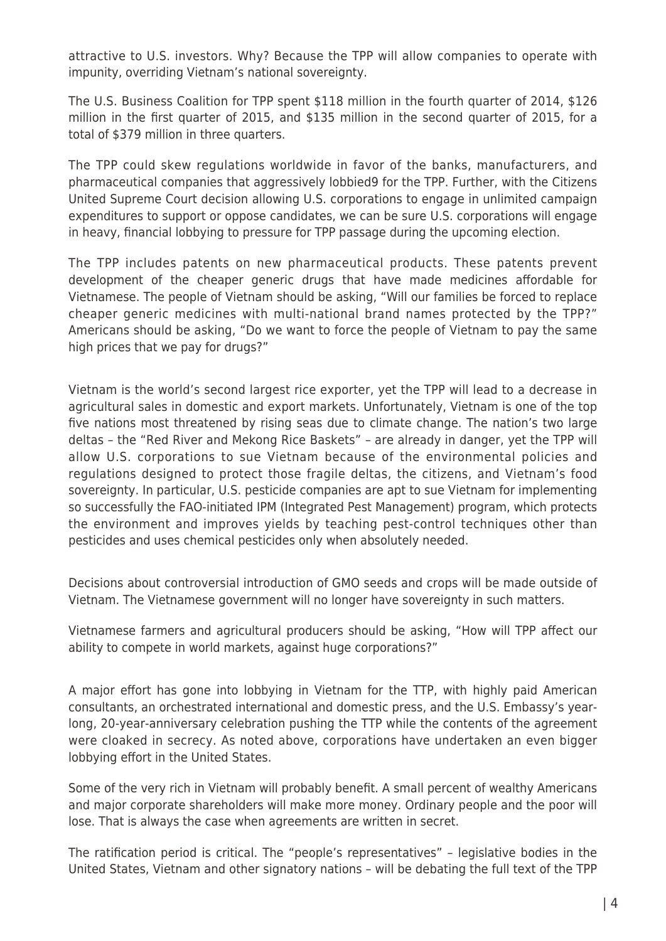attractive to U.S. investors. Why? Because the TPP will allow companies to operate with impunity, overriding Vietnam's national sovereignty.

The U.S. Business Coalition for TPP spent \$118 million in the fourth quarter of 2014, \$126 million in the first quarter of 2015, and \$135 million in the second quarter of 2015, for a total of \$379 million in three quarters.

The TPP could skew regulations worldwide in favor of the banks, manufacturers, and pharmaceutical companies that aggressively lobbied9 for the TPP. Further, with the Citizens United Supreme Court decision allowing U.S. corporations to engage in unlimited campaign expenditures to support or oppose candidates, we can be sure U.S. corporations will engage in heavy, financial lobbying to pressure for TPP passage during the upcoming election.

The TPP includes patents on new pharmaceutical products. These patents prevent development of the cheaper generic drugs that have made medicines affordable for Vietnamese. The people of Vietnam should be asking, "Will our families be forced to replace cheaper generic medicines with multi-national brand names protected by the TPP?" Americans should be asking, "Do we want to force the people of Vietnam to pay the same high prices that we pay for drugs?"

Vietnam is the world's second largest rice exporter, yet the TPP will lead to a decrease in agricultural sales in domestic and export markets. Unfortunately, Vietnam is one of the top five nations most threatened by rising seas due to climate change. The nation's two large deltas – the "Red River and Mekong Rice Baskets" – are already in danger, yet the TPP will allow U.S. corporations to sue Vietnam because of the environmental policies and regulations designed to protect those fragile deltas, the citizens, and Vietnam's food sovereignty. In particular, U.S. pesticide companies are apt to sue Vietnam for implementing so successfully the FAO-initiated IPM (Integrated Pest Management) program, which protects the environment and improves yields by teaching pest-control techniques other than pesticides and uses chemical pesticides only when absolutely needed.

Decisions about controversial introduction of GMO seeds and crops will be made outside of Vietnam. The Vietnamese government will no longer have sovereignty in such matters.

Vietnamese farmers and agricultural producers should be asking, "How will TPP affect our ability to compete in world markets, against huge corporations?"

A major effort has gone into lobbying in Vietnam for the TTP, with highly paid American consultants, an orchestrated international and domestic press, and the U.S. Embassy's yearlong, 20-year-anniversary celebration pushing the TTP while the contents of the agreement were cloaked in secrecy. As noted above, corporations have undertaken an even bigger lobbying effort in the United States.

Some of the very rich in Vietnam will probably benefit. A small percent of wealthy Americans and major corporate shareholders will make more money. Ordinary people and the poor will lose. That is always the case when agreements are written in secret.

The ratification period is critical. The "people's representatives" – legislative bodies in the United States, Vietnam and other signatory nations – will be debating the full text of the TPP